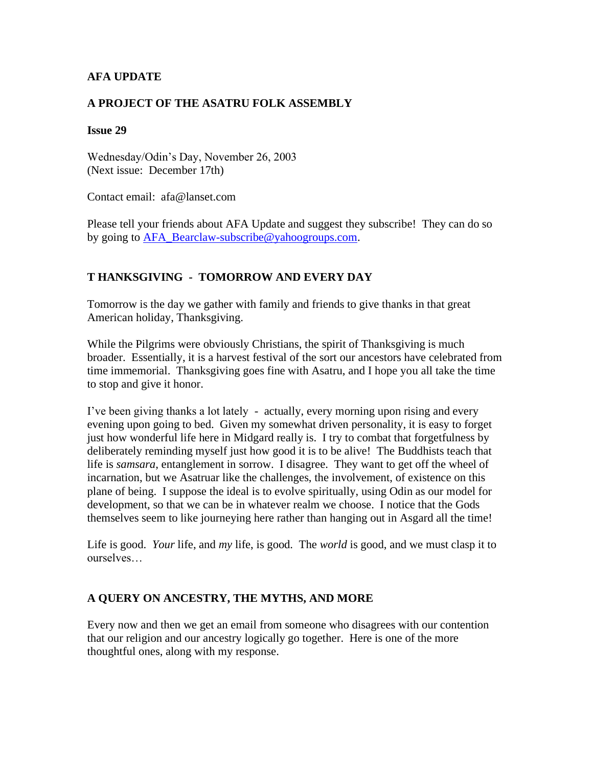### **AFA UPDATE**

#### **A PROJECT OF THE ASATRU FOLK ASSEMBLY**

#### **Issue 29**

Wednesday/Odin's Day, November 26, 2003 (Next issue: December 17th)

Contact email: afa@lanset.com

Please tell your friends about AFA Update and suggest they subscribe! They can do so by going to [AFA\\_Bearclaw-subscribe@yahoogroups.com.](mailto:AFA_Bearclaw-subscribe@yahoogroups.com)

### **T HANKSGIVING - TOMORROW AND EVERY DAY**

Tomorrow is the day we gather with family and friends to give thanks in that great American holiday, Thanksgiving.

While the Pilgrims were obviously Christians, the spirit of Thanksgiving is much broader. Essentially, it is a harvest festival of the sort our ancestors have celebrated from time immemorial. Thanksgiving goes fine with Asatru, and I hope you all take the time to stop and give it honor.

I've been giving thanks a lot lately - actually, every morning upon rising and every evening upon going to bed. Given my somewhat driven personality, it is easy to forget just how wonderful life here in Midgard really is. I try to combat that forgetfulness by deliberately reminding myself just how good it is to be alive! The Buddhists teach that life is *samsara*, entanglement in sorrow. I disagree. They want to get off the wheel of incarnation, but we Asatruar like the challenges, the involvement, of existence on this plane of being. I suppose the ideal is to evolve spiritually, using Odin as our model for development, so that we can be in whatever realm we choose. I notice that the Gods themselves seem to like journeying here rather than hanging out in Asgard all the time!

Life is good. *Your* life, and *my* life, is good. The *world* is good, and we must clasp it to ourselves…

### **A QUERY ON ANCESTRY, THE MYTHS, AND MORE**

Every now and then we get an email from someone who disagrees with our contention that our religion and our ancestry logically go together. Here is one of the more thoughtful ones, along with my response.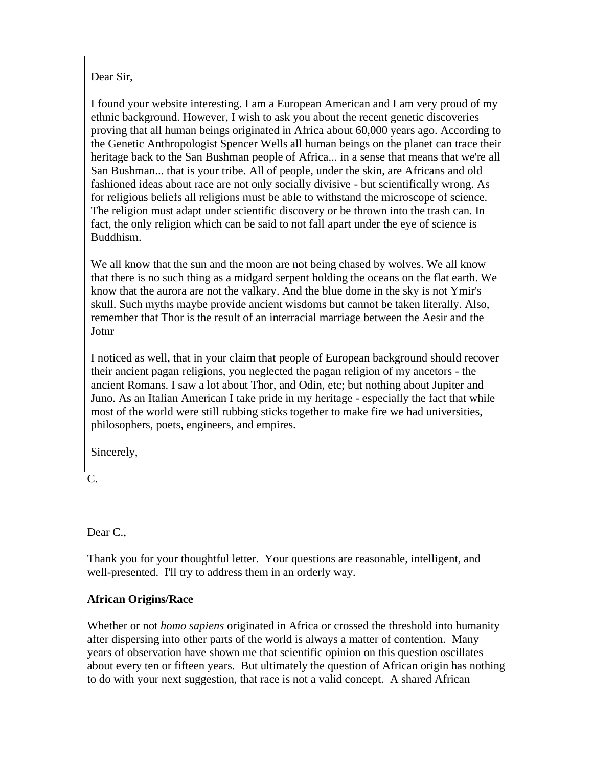# Dear Sir,

I found your website interesting. I am a European American and I am very proud of my ethnic background. However, I wish to ask you about the recent genetic discoveries proving that all human beings originated in Africa about 60,000 years ago. According to the Genetic Anthropologist Spencer Wells all human beings on the planet can trace their heritage back to the San Bushman people of Africa... in a sense that means that we're all San Bushman... that is your tribe. All of people, under the skin, are Africans and old fashioned ideas about race are not only socially divisive - but scientifically wrong. As for religious beliefs all religions must be able to withstand the microscope of science. The religion must adapt under scientific discovery or be thrown into the trash can. In fact, the only religion which can be said to not fall apart under the eye of science is Buddhism.

We all know that the sun and the moon are not being chased by wolves. We all know that there is no such thing as a midgard serpent holding the oceans on the flat earth. We know that the aurora are not the valkary. And the blue dome in the sky is not Ymir's skull. Such myths maybe provide ancient wisdoms but cannot be taken literally. Also, remember that Thor is the result of an interracial marriage between the Aesir and the Jotnr

I noticed as well, that in your claim that people of European background should recover their ancient pagan religions, you neglected the pagan religion of my ancetors - the ancient Romans. I saw a lot about Thor, and Odin, etc; but nothing about Jupiter and Juno. As an Italian American I take pride in my heritage - especially the fact that while most of the world were still rubbing sticks together to make fire we had universities, philosophers, poets, engineers, and empires.

Sincerely,

C.

Dear C.,

Thank you for your thoughtful letter. Your questions are reasonable, intelligent, and well-presented. I'll try to address them in an orderly way.

# **African Origins/Race**

Whether or not *homo sapiens* originated in Africa or crossed the threshold into humanity after dispersing into other parts of the world is always a matter of contention. Many years of observation have shown me that scientific opinion on this question oscillates about every ten or fifteen years. But ultimately the question of African origin has nothing to do with your next suggestion, that race is not a valid concept. A shared African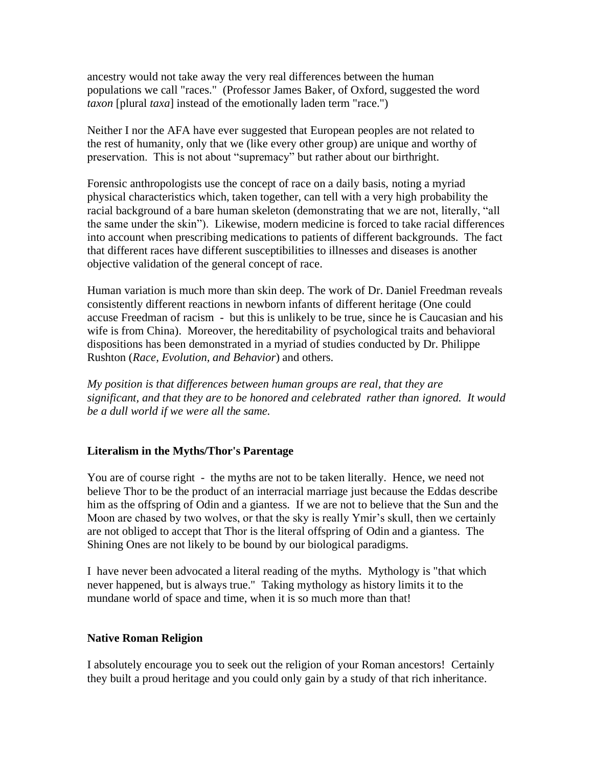ancestry would not take away the very real differences between the human populations we call "races." (Professor James Baker, of Oxford, suggested the word *taxon* [plural *taxa*] instead of the emotionally laden term "race.")

Neither I nor the AFA have ever suggested that European peoples are not related to the rest of humanity, only that we (like every other group) are unique and worthy of preservation. This is not about "supremacy" but rather about our birthright.

Forensic anthropologists use the concept of race on a daily basis, noting a myriad physical characteristics which, taken together, can tell with a very high probability the racial background of a bare human skeleton (demonstrating that we are not, literally, "all the same under the skin"). Likewise, modern medicine is forced to take racial differences into account when prescribing medications to patients of different backgrounds. The fact that different races have different susceptibilities to illnesses and diseases is another objective validation of the general concept of race.

Human variation is much more than skin deep. The work of Dr. Daniel Freedman reveals consistently different reactions in newborn infants of different heritage (One could accuse Freedman of racism - but this is unlikely to be true, since he is Caucasian and his wife is from China). Moreover, the hereditability of psychological traits and behavioral dispositions has been demonstrated in a myriad of studies conducted by Dr. Philippe Rushton (*Race, Evolution, and Behavior*) and others.

*My position is that differences between human groups are real, that they are significant, and that they are to be honored and celebrated rather than ignored. It would be a dull world if we were all the same.*

### **Literalism in the Myths/Thor's Parentage**

You are of course right - the myths are not to be taken literally. Hence, we need not believe Thor to be the product of an interracial marriage just because the Eddas describe him as the offspring of Odin and a giantess. If we are not to believe that the Sun and the Moon are chased by two wolves, or that the sky is really Ymir's skull, then we certainly are not obliged to accept that Thor is the literal offspring of Odin and a giantess. The Shining Ones are not likely to be bound by our biological paradigms.

I have never been advocated a literal reading of the myths. Mythology is "that which never happened, but is always true." Taking mythology as history limits it to the mundane world of space and time, when it is so much more than that!

#### **Native Roman Religion**

I absolutely encourage you to seek out the religion of your Roman ancestors! Certainly they built a proud heritage and you could only gain by a study of that rich inheritance.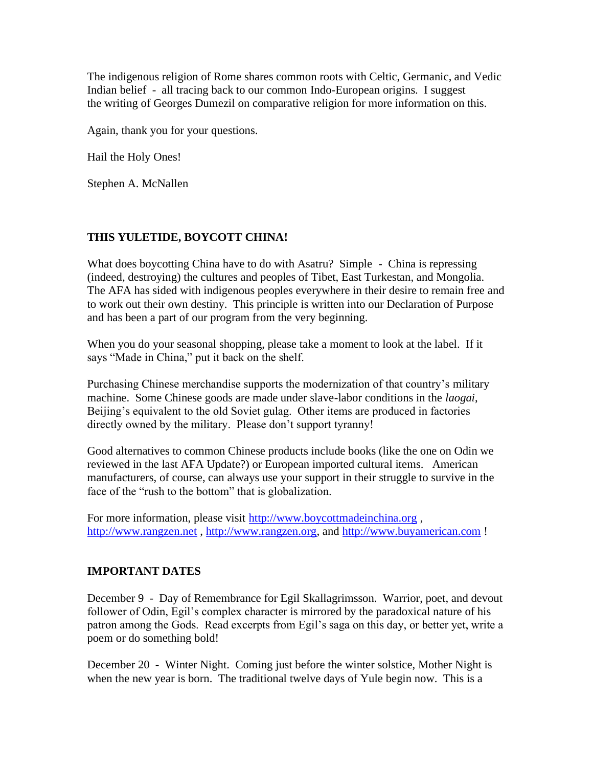The indigenous religion of Rome shares common roots with Celtic, Germanic, and Vedic Indian belief - all tracing back to our common Indo-European origins. I suggest the writing of Georges Dumezil on comparative religion for more information on this.

Again, thank you for your questions.

Hail the Holy Ones!

Stephen A. McNallen

# **THIS YULETIDE, BOYCOTT CHINA!**

What does boycotting China have to do with Asatru? Simple - China is repressing (indeed, destroying) the cultures and peoples of Tibet, East Turkestan, and Mongolia. The AFA has sided with indigenous peoples everywhere in their desire to remain free and to work out their own destiny. This principle is written into our Declaration of Purpose and has been a part of our program from the very beginning.

When you do your seasonal shopping, please take a moment to look at the label. If it says "Made in China," put it back on the shelf.

Purchasing Chinese merchandise supports the modernization of that country's military machine. Some Chinese goods are made under slave-labor conditions in the *laogai*, Beijing's equivalent to the old Soviet gulag. Other items are produced in factories directly owned by the military. Please don't support tyranny!

Good alternatives to common Chinese products include books (like the one on Odin we reviewed in the last AFA Update?) or European imported cultural items. American manufacturers, of course, can always use your support in their struggle to survive in the face of the "rush to the bottom" that is globalization.

For more information, please visit [http://www.boycottmadeinchina.org](http://www.boycottmadeinchina.org/), [http://www.rangzen.net](http://www.rangzen.net/), [http://www.rangzen.org,](http://www.rangzen.org/) and [http://www.buyamerican.com](http://www.buyamerican.com/)!

### **IMPORTANT DATES**

December 9 - Day of Remembrance for Egil Skallagrimsson. Warrior, poet, and devout follower of Odin, Egil's complex character is mirrored by the paradoxical nature of his patron among the Gods. Read excerpts from Egil's saga on this day, or better yet, write a poem or do something bold!

December 20 - Winter Night. Coming just before the winter solstice, Mother Night is when the new year is born. The traditional twelve days of Yule begin now. This is a